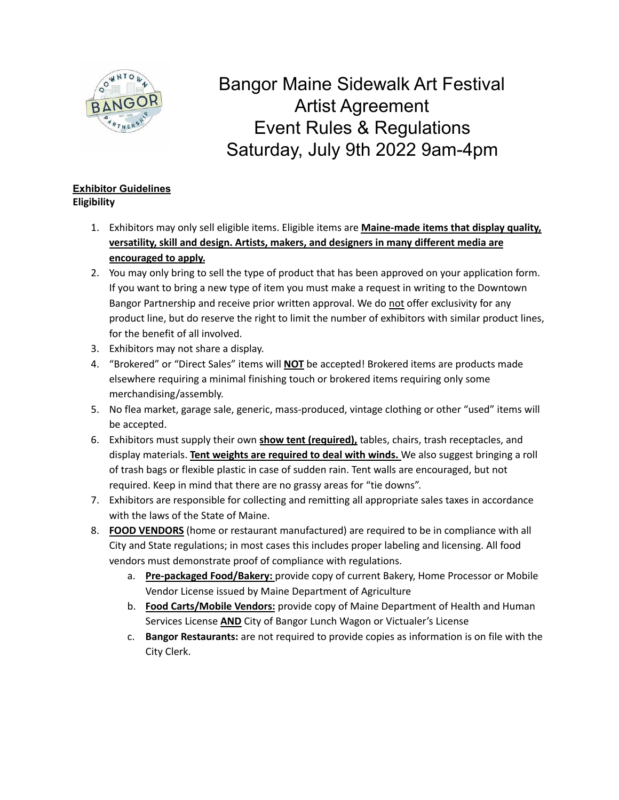

Bangor Maine Sidewalk Art Festival Artist Agreement Event Rules & Regulations Saturday, July 9th 2022 9am-4pm

## **Exhibitor Guidelines Eligibility**

- 1. Exhibitors may only sell eligible items. Eligible items are **Maine-made items that display quality, versatility, skill and design. Artists, makers, and designers in many different media are encouraged to apply.**
- 2. You may only bring to sell the type of product that has been approved on your application form. If you want to bring a new type of item you must make a request in writing to the Downtown Bangor Partnership and receive prior written approval. We do not offer exclusivity for any product line, but do reserve the right to limit the number of exhibitors with similar product lines, for the benefit of all involved.
- 3. Exhibitors may not share a display.
- 4. "Brokered" or "Direct Sales" items will **NOT** be accepted! Brokered items are products made elsewhere requiring a minimal finishing touch or brokered items requiring only some merchandising/assembly.
- 5. No flea market, garage sale, generic, mass-produced, vintage clothing or other "used" items will be accepted.
- 6. Exhibitors must supply their own **show tent (required),** tables, chairs, trash receptacles, and display materials. **Tent weights are required to deal with winds.** We also suggest bringing a roll of trash bags or flexible plastic in case of sudden rain. Tent walls are encouraged, but not required. Keep in mind that there are no grassy areas for "tie downs".
- 7. Exhibitors are responsible for collecting and remitting all appropriate sales taxes in accordance with the laws of the State of Maine.
- 8. **FOOD VENDORS** (home or restaurant manufactured) are required to be in compliance with all City and State regulations; in most cases this includes proper labeling and licensing. All food vendors must demonstrate proof of compliance with regulations.
	- a. **Pre-packaged Food/Bakery:** provide copy of current Bakery, Home Processor or Mobile Vendor License issued by Maine Department of Agriculture
	- b. **Food Carts/Mobile Vendors:** provide copy of Maine Department of Health and Human Services License **AND** City of Bangor Lunch Wagon or Victualer's License
	- c. **Bangor Restaurants:** are not required to provide copies as information is on file with the City Clerk.